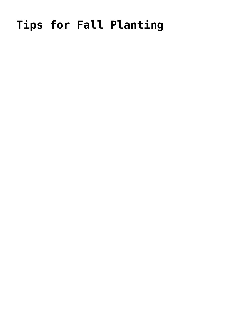## Tips for Fall Planting

- 
- 
- -
	- -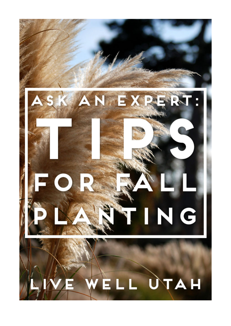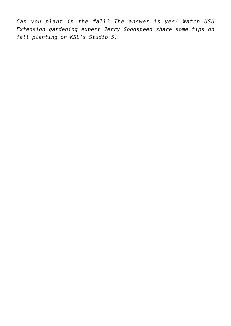*Can you plant in the fall? The answer is yes! Watch USU Extension gardening expert Jerry Goodspeed share some tips on fall planting on KSL's Studio 5.*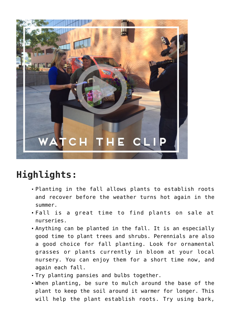

## **Highlights:**

- Planting in the fall allows plants to establish roots and recover before the weather turns hot again in the summer.
- Fall is a great time to find plants on sale at nurseries.
- Anything can be planted in the fall. It is an especially good time to plant trees and shrubs. Perennials are also a good choice for fall planting. Look for ornamental grasses or plants currently in bloom at your local nursery. You can enjoy them for a short time now, and again each fall.
- Try planting pansies and bulbs together.
- When planting, be sure to mulch around the base of the plant to keep the soil around it warmer for longer. This will help the plant establish roots. Try using bark,